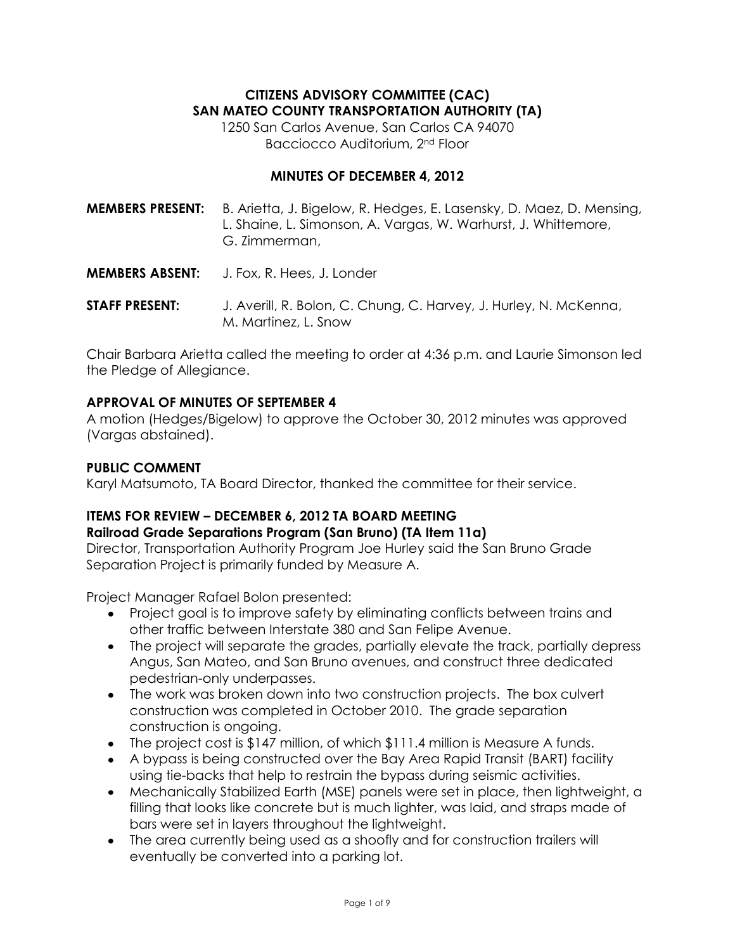# **CITIZENS ADVISORY COMMITTEE (CAC) SAN MATEO COUNTY TRANSPORTATION AUTHORITY (TA)**

1250 San Carlos Avenue, San Carlos CA 94070 Bacciocco Auditorium, 2nd Floor

## **MINUTES OF DECEMBER 4, 2012**

**MEMBERS PRESENT:** B. Arietta, J. Bigelow, R. Hedges, E. Lasensky, D. Maez, D. Mensing, L. Shaine, L. Simonson, A. Vargas, W. Warhurst, J. Whittemore, G. Zimmerman,

- **MEMBERS ABSENT:** J. Fox, R. Hees, J. Londer
- **STAFF PRESENT:** J. Averill, R. Bolon, C. Chung, C. Harvey, J. Hurley, N. McKenna, M. Martinez, L. Snow

Chair Barbara Arietta called the meeting to order at 4:36 p.m. and Laurie Simonson led the Pledge of Allegiance.

## **APPROVAL OF MINUTES OF SEPTEMBER 4**

A motion (Hedges/Bigelow) to approve the October 30, 2012 minutes was approved (Vargas abstained).

## **PUBLIC COMMENT**

Karyl Matsumoto, TA Board Director, thanked the committee for their service.

# **ITEMS FOR REVIEW – DECEMBER 6, 2012 TA BOARD MEETING**

# **Railroad Grade Separations Program (San Bruno) (TA Item 11a)**

Director, Transportation Authority Program Joe Hurley said the San Bruno Grade Separation Project is primarily funded by Measure A.

Project Manager Rafael Bolon presented:

- Project goal is to improve safety by eliminating conflicts between trains and other traffic between Interstate 380 and San Felipe Avenue.
- The project will separate the grades, partially elevate the track, partially depress Angus, San Mateo, and San Bruno avenues, and construct three dedicated pedestrian-only underpasses.
- The work was broken down into two construction projects. The box culvert construction was completed in October 2010. The grade separation construction is ongoing.
- The project cost is \$147 million, of which \$111.4 million is Measure A funds.
- A bypass is being constructed over the Bay Area Rapid Transit (BART) facility using tie-backs that help to restrain the bypass during seismic activities.
- Mechanically Stabilized Earth (MSE) panels were set in place, then lightweight, a filling that looks like concrete but is much lighter, was laid, and straps made of bars were set in layers throughout the lightweight.
- The area currently being used as a shoofly and for construction trailers will eventually be converted into a parking lot.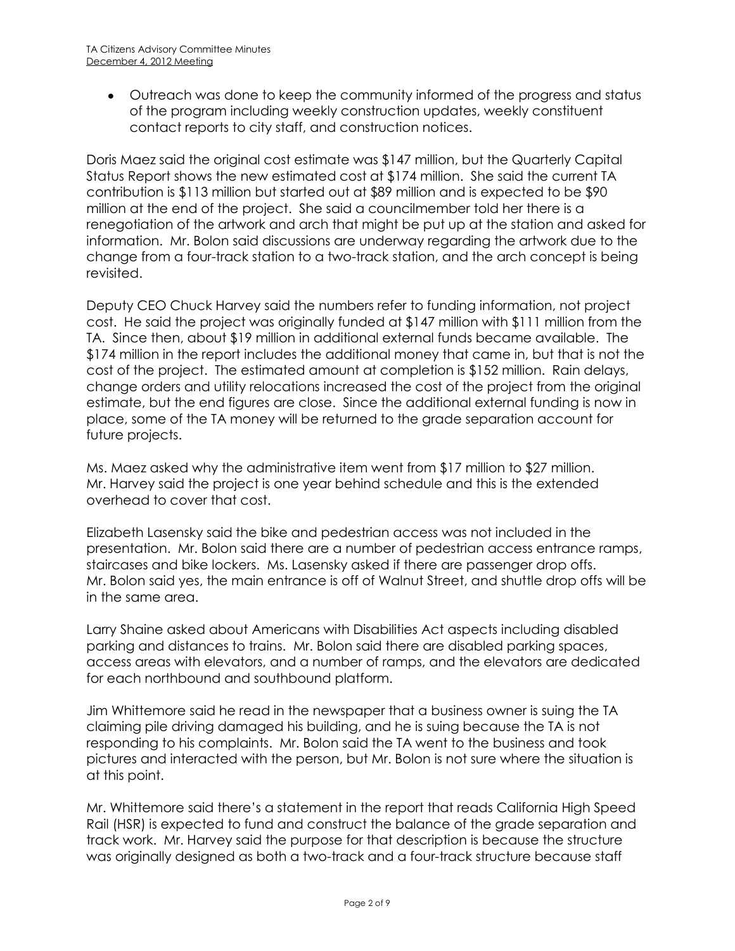Outreach was done to keep the community informed of the progress and status of the program including weekly construction updates, weekly constituent contact reports to city staff, and construction notices.

Doris Maez said the original cost estimate was \$147 million, but the Quarterly Capital Status Report shows the new estimated cost at \$174 million. She said the current TA contribution is \$113 million but started out at \$89 million and is expected to be \$90 million at the end of the project. She said a councilmember told her there is a renegotiation of the artwork and arch that might be put up at the station and asked for information. Mr. Bolon said discussions are underway regarding the artwork due to the change from a four-track station to a two-track station, and the arch concept is being revisited.

Deputy CEO Chuck Harvey said the numbers refer to funding information, not project cost. He said the project was originally funded at \$147 million with \$111 million from the TA. Since then, about \$19 million in additional external funds became available. The \$174 million in the report includes the additional money that came in, but that is not the cost of the project. The estimated amount at completion is \$152 million. Rain delays, change orders and utility relocations increased the cost of the project from the original estimate, but the end figures are close. Since the additional external funding is now in place, some of the TA money will be returned to the grade separation account for future projects.

Ms. Maez asked why the administrative item went from \$17 million to \$27 million. Mr. Harvey said the project is one year behind schedule and this is the extended overhead to cover that cost.

Elizabeth Lasensky said the bike and pedestrian access was not included in the presentation. Mr. Bolon said there are a number of pedestrian access entrance ramps, staircases and bike lockers. Ms. Lasensky asked if there are passenger drop offs. Mr. Bolon said yes, the main entrance is off of Walnut Street, and shuttle drop offs will be in the same area.

Larry Shaine asked about Americans with Disabilities Act aspects including disabled parking and distances to trains. Mr. Bolon said there are disabled parking spaces, access areas with elevators, and a number of ramps, and the elevators are dedicated for each northbound and southbound platform.

Jim Whittemore said he read in the newspaper that a business owner is suing the TA claiming pile driving damaged his building, and he is suing because the TA is not responding to his complaints. Mr. Bolon said the TA went to the business and took pictures and interacted with the person, but Mr. Bolon is not sure where the situation is at this point.

Mr. Whittemore said there's a statement in the report that reads California High Speed Rail (HSR) is expected to fund and construct the balance of the grade separation and track work. Mr. Harvey said the purpose for that description is because the structure was originally designed as both a two-track and a four-track structure because staff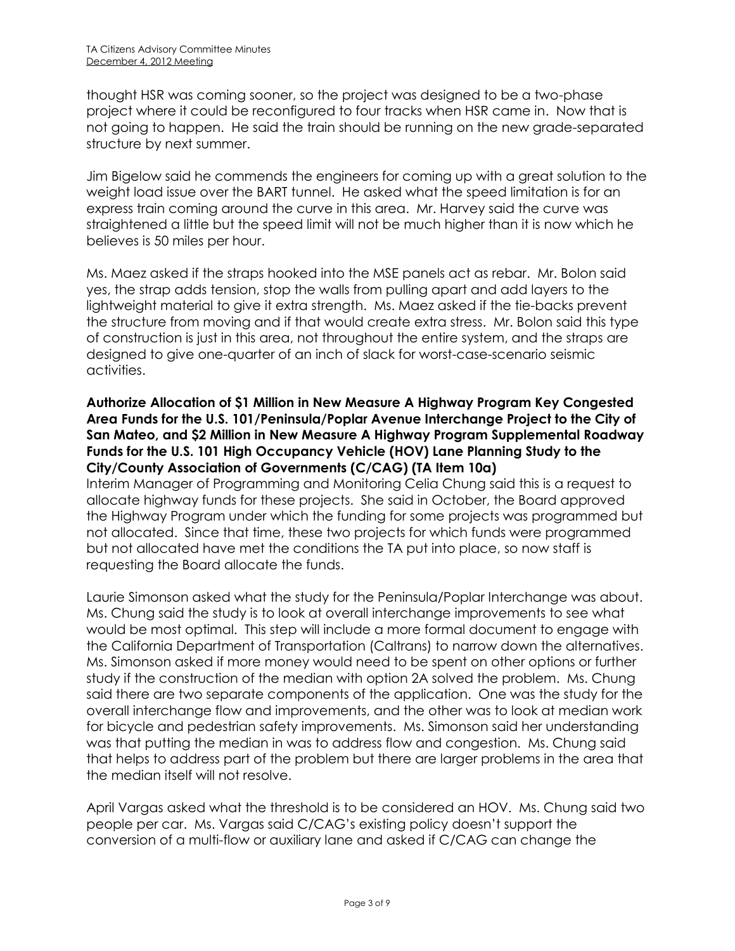thought HSR was coming sooner, so the project was designed to be a two-phase project where it could be reconfigured to four tracks when HSR came in. Now that is not going to happen. He said the train should be running on the new grade-separated structure by next summer.

Jim Bigelow said he commends the engineers for coming up with a great solution to the weight load issue over the BART tunnel. He asked what the speed limitation is for an express train coming around the curve in this area. Mr. Harvey said the curve was straightened a little but the speed limit will not be much higher than it is now which he believes is 50 miles per hour.

Ms. Maez asked if the straps hooked into the MSE panels act as rebar. Mr. Bolon said yes, the strap adds tension, stop the walls from pulling apart and add layers to the lightweight material to give it extra strength. Ms. Maez asked if the tie-backs prevent the structure from moving and if that would create extra stress. Mr. Bolon said this type of construction is just in this area, not throughout the entire system, and the straps are designed to give one-quarter of an inch of slack for worst-case-scenario seismic activities.

## **Authorize Allocation of \$1 Million in New Measure A Highway Program Key Congested Area Funds for the U.S. 101/Peninsula/Poplar Avenue Interchange Project to the City of San Mateo, and \$2 Million in New Measure A Highway Program Supplemental Roadway Funds for the U.S. 101 High Occupancy Vehicle (HOV) Lane Planning Study to the City/County Association of Governments (C/CAG) (TA Item 10a)**

Interim Manager of Programming and Monitoring Celia Chung said this is a request to allocate highway funds for these projects. She said in October, the Board approved the Highway Program under which the funding for some projects was programmed but not allocated. Since that time, these two projects for which funds were programmed but not allocated have met the conditions the TA put into place, so now staff is requesting the Board allocate the funds.

Laurie Simonson asked what the study for the Peninsula/Poplar Interchange was about. Ms. Chung said the study is to look at overall interchange improvements to see what would be most optimal. This step will include a more formal document to engage with the California Department of Transportation (Caltrans) to narrow down the alternatives. Ms. Simonson asked if more money would need to be spent on other options or further study if the construction of the median with option 2A solved the problem. Ms. Chung said there are two separate components of the application. One was the study for the overall interchange flow and improvements, and the other was to look at median work for bicycle and pedestrian safety improvements. Ms. Simonson said her understanding was that putting the median in was to address flow and congestion. Ms. Chung said that helps to address part of the problem but there are larger problems in the area that the median itself will not resolve.

April Vargas asked what the threshold is to be considered an HOV. Ms. Chung said two people per car. Ms. Vargas said C/CAG's existing policy doesn't support the conversion of a multi-flow or auxiliary lane and asked if C/CAG can change the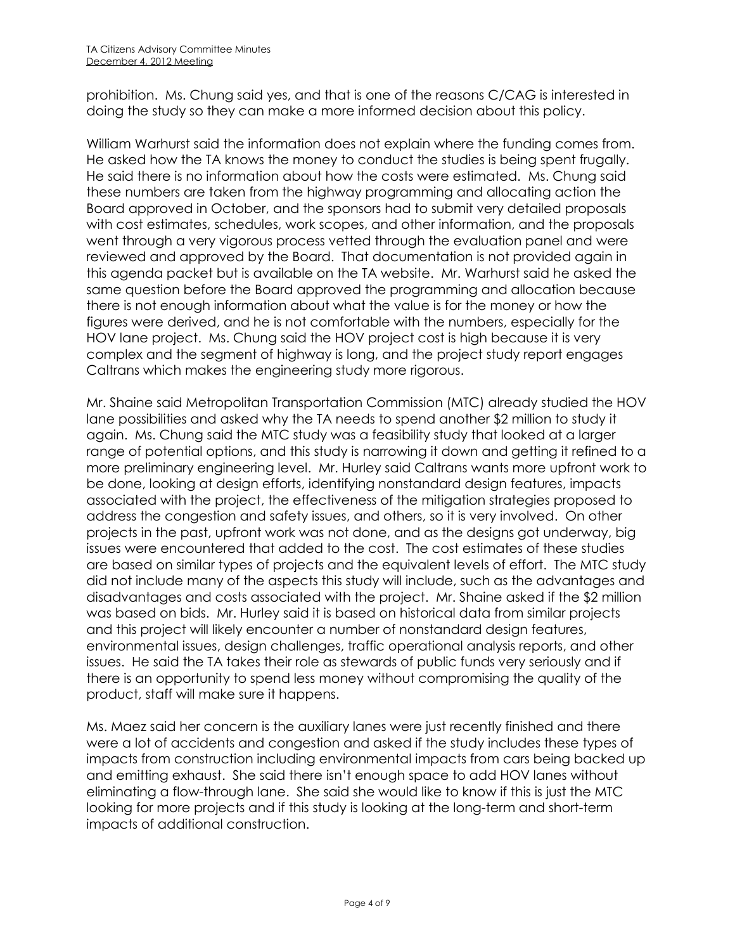prohibition. Ms. Chung said yes, and that is one of the reasons C/CAG is interested in doing the study so they can make a more informed decision about this policy.

William Warhurst said the information does not explain where the funding comes from. He asked how the TA knows the money to conduct the studies is being spent frugally. He said there is no information about how the costs were estimated. Ms. Chung said these numbers are taken from the highway programming and allocating action the Board approved in October, and the sponsors had to submit very detailed proposals with cost estimates, schedules, work scopes, and other information, and the proposals went through a very vigorous process vetted through the evaluation panel and were reviewed and approved by the Board. That documentation is not provided again in this agenda packet but is available on the TA website. Mr. Warhurst said he asked the same question before the Board approved the programming and allocation because there is not enough information about what the value is for the money or how the figures were derived, and he is not comfortable with the numbers, especially for the HOV lane project. Ms. Chung said the HOV project cost is high because it is very complex and the segment of highway is long, and the project study report engages Caltrans which makes the engineering study more rigorous.

Mr. Shaine said Metropolitan Transportation Commission (MTC) already studied the HOV lane possibilities and asked why the TA needs to spend another \$2 million to study it again. Ms. Chung said the MTC study was a feasibility study that looked at a larger range of potential options, and this study is narrowing it down and getting it refined to a more preliminary engineering level. Mr. Hurley said Caltrans wants more upfront work to be done, looking at design efforts, identifying nonstandard design features, impacts associated with the project, the effectiveness of the mitigation strategies proposed to address the congestion and safety issues, and others, so it is very involved. On other projects in the past, upfront work was not done, and as the designs got underway, big issues were encountered that added to the cost. The cost estimates of these studies are based on similar types of projects and the equivalent levels of effort. The MTC study did not include many of the aspects this study will include, such as the advantages and disadvantages and costs associated with the project. Mr. Shaine asked if the \$2 million was based on bids. Mr. Hurley said it is based on historical data from similar projects and this project will likely encounter a number of nonstandard design features, environmental issues, design challenges, traffic operational analysis reports, and other issues. He said the TA takes their role as stewards of public funds very seriously and if there is an opportunity to spend less money without compromising the quality of the product, staff will make sure it happens.

Ms. Maez said her concern is the auxiliary lanes were just recently finished and there were a lot of accidents and congestion and asked if the study includes these types of impacts from construction including environmental impacts from cars being backed up and emitting exhaust. She said there isn't enough space to add HOV lanes without eliminating a flow-through lane. She said she would like to know if this is just the MTC looking for more projects and if this study is looking at the long-term and short-term impacts of additional construction.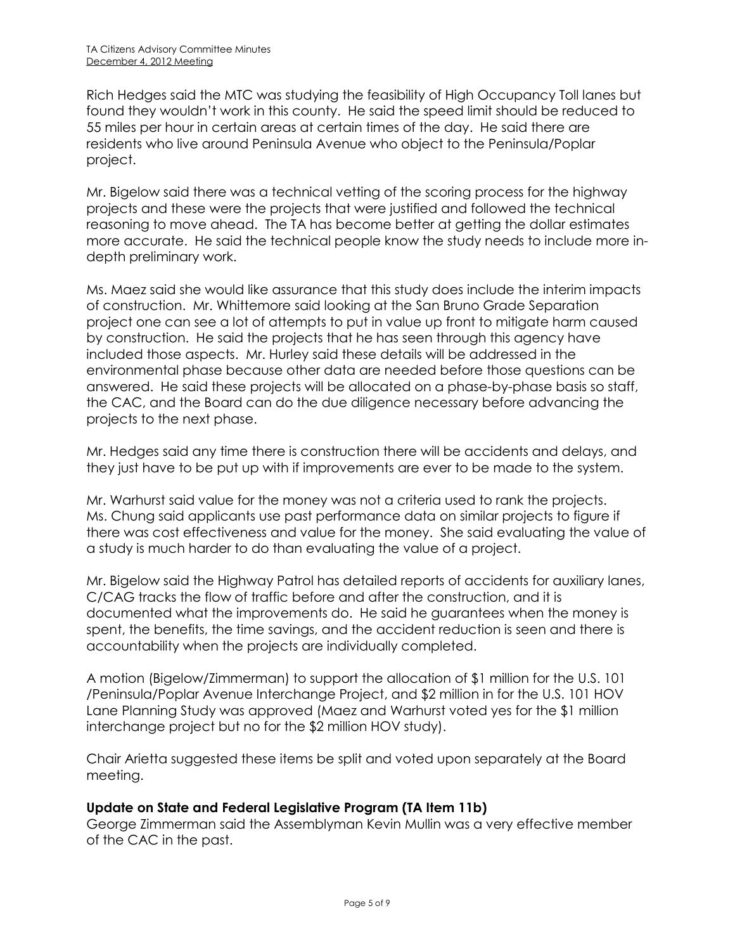Rich Hedges said the MTC was studying the feasibility of High Occupancy Toll lanes but found they wouldn't work in this county. He said the speed limit should be reduced to 55 miles per hour in certain areas at certain times of the day. He said there are residents who live around Peninsula Avenue who object to the Peninsula/Poplar project.

Mr. Bigelow said there was a technical vetting of the scoring process for the highway projects and these were the projects that were justified and followed the technical reasoning to move ahead. The TA has become better at getting the dollar estimates more accurate. He said the technical people know the study needs to include more indepth preliminary work.

Ms. Maez said she would like assurance that this study does include the interim impacts of construction. Mr. Whittemore said looking at the San Bruno Grade Separation project one can see a lot of attempts to put in value up front to mitigate harm caused by construction. He said the projects that he has seen through this agency have included those aspects. Mr. Hurley said these details will be addressed in the environmental phase because other data are needed before those questions can be answered. He said these projects will be allocated on a phase-by-phase basis so staff, the CAC, and the Board can do the due diligence necessary before advancing the projects to the next phase.

Mr. Hedges said any time there is construction there will be accidents and delays, and they just have to be put up with if improvements are ever to be made to the system.

Mr. Warhurst said value for the money was not a criteria used to rank the projects. Ms. Chung said applicants use past performance data on similar projects to figure if there was cost effectiveness and value for the money. She said evaluating the value of a study is much harder to do than evaluating the value of a project.

Mr. Bigelow said the Highway Patrol has detailed reports of accidents for auxiliary lanes, C/CAG tracks the flow of traffic before and after the construction, and it is documented what the improvements do. He said he guarantees when the money is spent, the benefits, the time savings, and the accident reduction is seen and there is accountability when the projects are individually completed.

A motion (Bigelow/Zimmerman) to support the allocation of \$1 million for the U.S. 101 /Peninsula/Poplar Avenue Interchange Project, and \$2 million in for the U.S. 101 HOV Lane Planning Study was approved (Maez and Warhurst voted yes for the \$1 million interchange project but no for the \$2 million HOV study).

Chair Arietta suggested these items be split and voted upon separately at the Board meeting.

# **Update on State and Federal Legislative Program (TA Item 11b)**

George Zimmerman said the Assemblyman Kevin Mullin was a very effective member of the CAC in the past.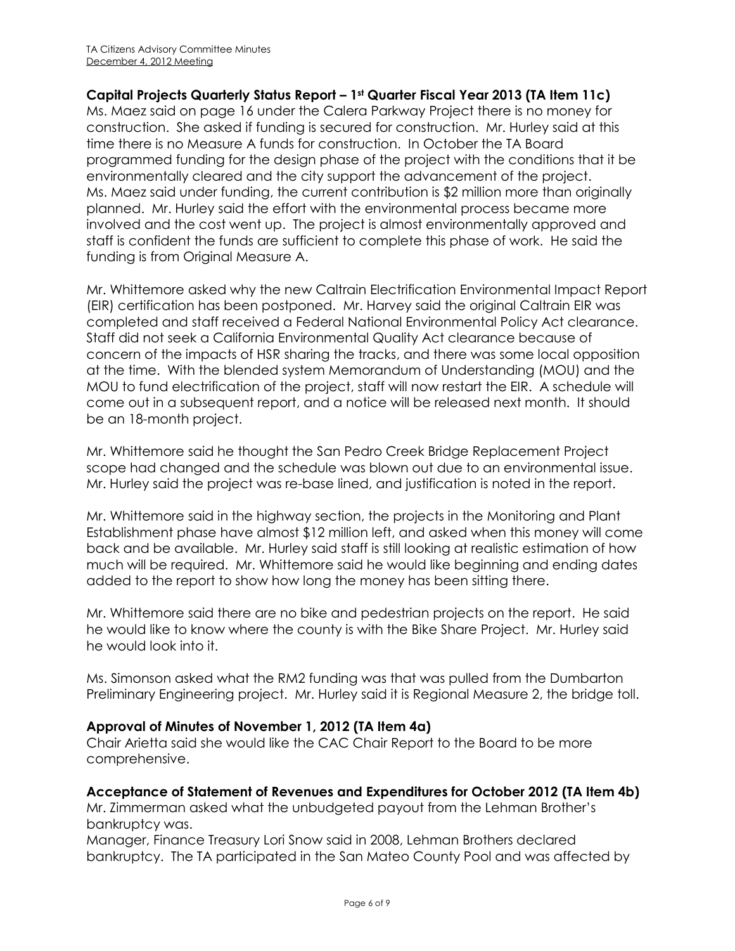## **Capital Projects Quarterly Status Report – 1st Quarter Fiscal Year 2013 (TA Item 11c)**

Ms. Maez said on page 16 under the Calera Parkway Project there is no money for construction. She asked if funding is secured for construction. Mr. Hurley said at this time there is no Measure A funds for construction. In October the TA Board programmed funding for the design phase of the project with the conditions that it be environmentally cleared and the city support the advancement of the project. Ms. Maez said under funding, the current contribution is \$2 million more than originally planned. Mr. Hurley said the effort with the environmental process became more involved and the cost went up. The project is almost environmentally approved and staff is confident the funds are sufficient to complete this phase of work. He said the funding is from Original Measure A.

Mr. Whittemore asked why the new Caltrain Electrification Environmental Impact Report (EIR) certification has been postponed. Mr. Harvey said the original Caltrain EIR was completed and staff received a Federal National Environmental Policy Act clearance. Staff did not seek a California Environmental Quality Act clearance because of concern of the impacts of HSR sharing the tracks, and there was some local opposition at the time. With the blended system Memorandum of Understanding (MOU) and the MOU to fund electrification of the project, staff will now restart the EIR. A schedule will come out in a subsequent report, and a notice will be released next month. It should be an 18-month project.

Mr. Whittemore said he thought the San Pedro Creek Bridge Replacement Project scope had changed and the schedule was blown out due to an environmental issue. Mr. Hurley said the project was re-base lined, and justification is noted in the report.

Mr. Whittemore said in the highway section, the projects in the Monitoring and Plant Establishment phase have almost \$12 million left, and asked when this money will come back and be available. Mr. Hurley said staff is still looking at realistic estimation of how much will be required. Mr. Whittemore said he would like beginning and ending dates added to the report to show how long the money has been sitting there.

Mr. Whittemore said there are no bike and pedestrian projects on the report. He said he would like to know where the county is with the Bike Share Project. Mr. Hurley said he would look into it.

Ms. Simonson asked what the RM2 funding was that was pulled from the Dumbarton Preliminary Engineering project. Mr. Hurley said it is Regional Measure 2, the bridge toll.

## **Approval of Minutes of November 1, 2012 (TA Item 4a)**

Chair Arietta said she would like the CAC Chair Report to the Board to be more comprehensive.

## **Acceptance of Statement of Revenues and Expenditures for October 2012 (TA Item 4b)**

Mr. Zimmerman asked what the unbudgeted payout from the Lehman Brother's bankruptcy was.

Manager, Finance Treasury Lori Snow said in 2008, Lehman Brothers declared bankruptcy. The TA participated in the San Mateo County Pool and was affected by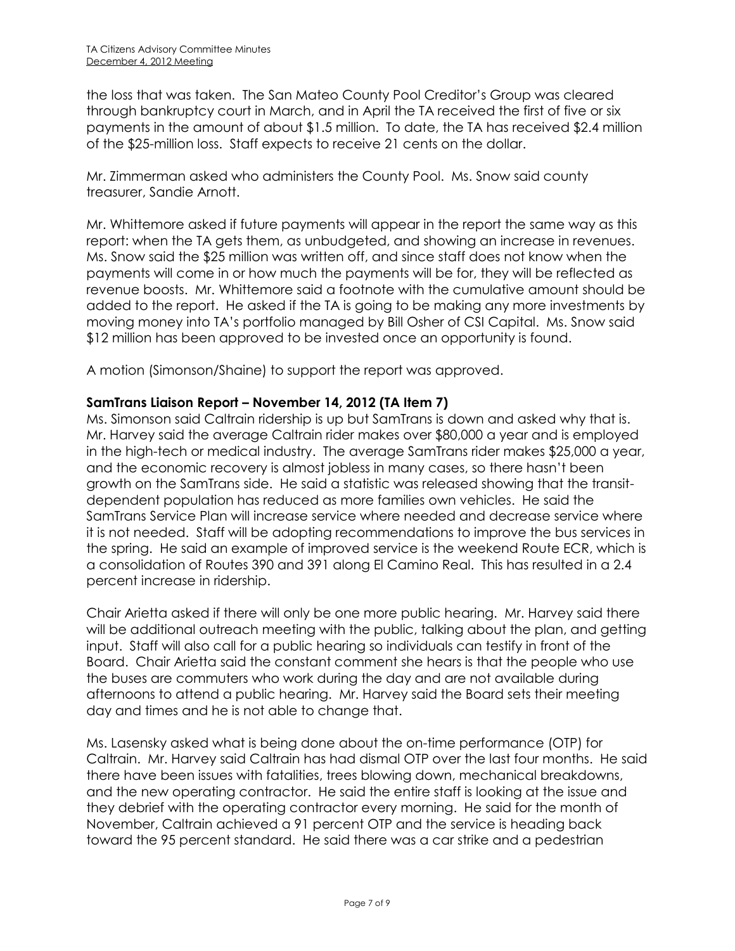the loss that was taken. The San Mateo County Pool Creditor's Group was cleared through bankruptcy court in March, and in April the TA received the first of five or six payments in the amount of about \$1.5 million. To date, the TA has received \$2.4 million of the \$25-million loss. Staff expects to receive 21 cents on the dollar.

Mr. Zimmerman asked who administers the County Pool. Ms. Snow said county treasurer, Sandie Arnott.

Mr. Whittemore asked if future payments will appear in the report the same way as this report: when the TA gets them, as unbudgeted, and showing an increase in revenues. Ms. Snow said the \$25 million was written off, and since staff does not know when the payments will come in or how much the payments will be for, they will be reflected as revenue boosts. Mr. Whittemore said a footnote with the cumulative amount should be added to the report. He asked if the TA is going to be making any more investments by moving money into TA's portfolio managed by Bill Osher of CSI Capital. Ms. Snow said \$12 million has been approved to be invested once an opportunity is found.

A motion (Simonson/Shaine) to support the report was approved.

## **SamTrans Liaison Report – November 14, 2012 (TA Item 7)**

Ms. Simonson said Caltrain ridership is up but SamTrans is down and asked why that is. Mr. Harvey said the average Caltrain rider makes over \$80,000 a year and is employed in the high-tech or medical industry. The average SamTrans rider makes \$25,000 a year, and the economic recovery is almost jobless in many cases, so there hasn't been growth on the SamTrans side. He said a statistic was released showing that the transitdependent population has reduced as more families own vehicles. He said the SamTrans Service Plan will increase service where needed and decrease service where it is not needed. Staff will be adopting recommendations to improve the bus services in the spring. He said an example of improved service is the weekend Route ECR, which is a consolidation of Routes 390 and 391 along El Camino Real. This has resulted in a 2.4 percent increase in ridership.

Chair Arietta asked if there will only be one more public hearing. Mr. Harvey said there will be additional outreach meeting with the public, talking about the plan, and getting input. Staff will also call for a public hearing so individuals can testify in front of the Board. Chair Arietta said the constant comment she hears is that the people who use the buses are commuters who work during the day and are not available during afternoons to attend a public hearing. Mr. Harvey said the Board sets their meeting day and times and he is not able to change that.

Ms. Lasensky asked what is being done about the on-time performance (OTP) for Caltrain. Mr. Harvey said Caltrain has had dismal OTP over the last four months. He said there have been issues with fatalities, trees blowing down, mechanical breakdowns, and the new operating contractor. He said the entire staff is looking at the issue and they debrief with the operating contractor every morning. He said for the month of November, Caltrain achieved a 91 percent OTP and the service is heading back toward the 95 percent standard. He said there was a car strike and a pedestrian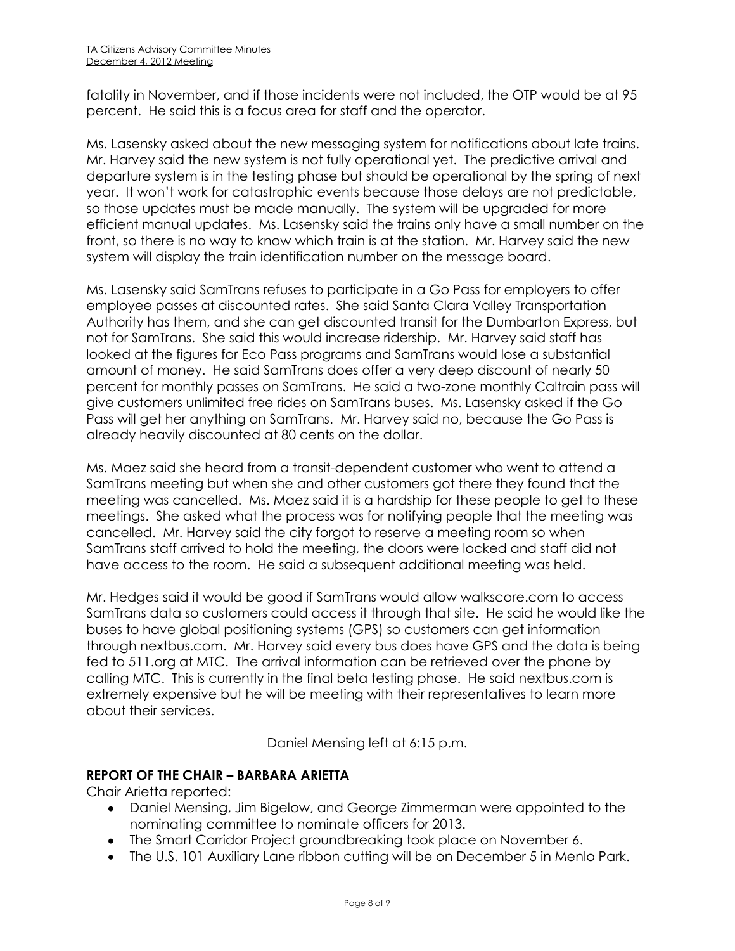fatality in November, and if those incidents were not included, the OTP would be at 95 percent. He said this is a focus area for staff and the operator.

Ms. Lasensky asked about the new messaging system for notifications about late trains. Mr. Harvey said the new system is not fully operational yet. The predictive arrival and departure system is in the testing phase but should be operational by the spring of next year. It won't work for catastrophic events because those delays are not predictable, so those updates must be made manually. The system will be upgraded for more efficient manual updates. Ms. Lasensky said the trains only have a small number on the front, so there is no way to know which train is at the station. Mr. Harvey said the new system will display the train identification number on the message board.

Ms. Lasensky said SamTrans refuses to participate in a Go Pass for employers to offer employee passes at discounted rates. She said Santa Clara Valley Transportation Authority has them, and she can get discounted transit for the Dumbarton Express, but not for SamTrans. She said this would increase ridership. Mr. Harvey said staff has looked at the figures for Eco Pass programs and SamTrans would lose a substantial amount of money. He said SamTrans does offer a very deep discount of nearly 50 percent for monthly passes on SamTrans. He said a two-zone monthly Caltrain pass will give customers unlimited free rides on SamTrans buses. Ms. Lasensky asked if the Go Pass will get her anything on SamTrans. Mr. Harvey said no, because the Go Pass is already heavily discounted at 80 cents on the dollar.

Ms. Maez said she heard from a transit-dependent customer who went to attend a SamTrans meeting but when she and other customers got there they found that the meeting was cancelled. Ms. Maez said it is a hardship for these people to get to these meetings. She asked what the process was for notifying people that the meeting was cancelled. Mr. Harvey said the city forgot to reserve a meeting room so when SamTrans staff arrived to hold the meeting, the doors were locked and staff did not have access to the room. He said a subsequent additional meeting was held.

Mr. Hedges said it would be good if SamTrans would allow walkscore.com to access SamTrans data so customers could access it through that site. He said he would like the buses to have global positioning systems (GPS) so customers can get information through nextbus.com. Mr. Harvey said every bus does have GPS and the data is being fed to 511.org at MTC. The arrival information can be retrieved over the phone by calling MTC. This is currently in the final beta testing phase. He said nextbus.com is extremely expensive but he will be meeting with their representatives to learn more about their services.

Daniel Mensing left at 6:15 p.m.

# **REPORT OF THE CHAIR – BARBARA ARIETTA**

Chair Arietta reported:

- Daniel Mensing, Jim Bigelow, and George Zimmerman were appointed to the nominating committee to nominate officers for 2013.
- The Smart Corridor Project groundbreaking took place on November 6.
- The U.S. 101 Auxiliary Lane ribbon cutting will be on December 5 in Menlo Park.